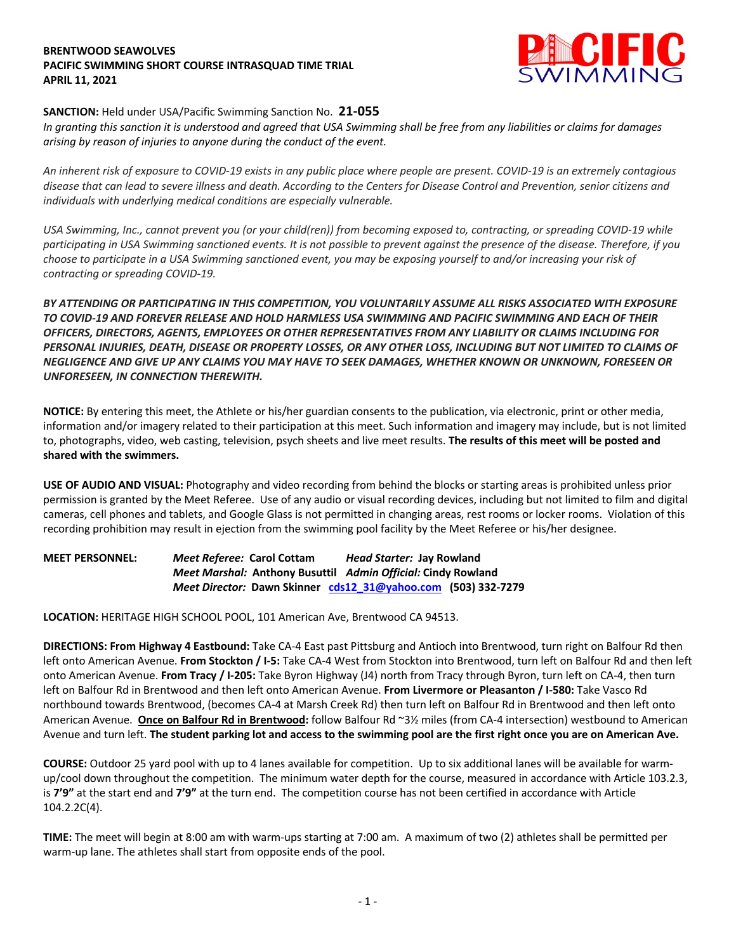## **BRENTWOOD SEAWOLVES PACIFIC SWIMMING SHORT COURSE INTRASQUAD TIME TRIAL APRIL 11, 2021**



## **SANCTION:** Held under USA/Pacific Swimming Sanction No. **21-055**

*In granting this sanction it is understood and agreed that USA Swimming shall be free from any liabilities or claims for damages arising by reason of injuries to anyone during the conduct of the event.* 

*An inherent risk of exposure to COVID-19 exists in any public place where people are present. COVID-19 is an extremely contagious disease that can lead to severe illness and death. According to the Centers for Disease Control and Prevention, senior citizens and individuals with underlying medical conditions are especially vulnerable.*

*USA Swimming, Inc., cannot prevent you (or your child(ren)) from becoming exposed to, contracting, or spreading COVID-19 while participating in USA Swimming sanctioned events. It is not possible to prevent against the presence of the disease. Therefore, if you choose to participate in a USA Swimming sanctioned event, you may be exposing yourself to and/or increasing your risk of contracting or spreading COVID-19.*

*BY ATTENDING OR PARTICIPATING IN THIS COMPETITION, YOU VOLUNTARILY ASSUME ALL RISKS ASSOCIATED WITH EXPOSURE TO COVID-19 AND FOREVER RELEASE AND HOLD HARMLESS USA SWIMMING AND PACIFIC SWIMMING AND EACH OF THEIR OFFICERS, DIRECTORS, AGENTS, EMPLOYEES OR OTHER REPRESENTATIVES FROM ANY LIABILITY OR CLAIMS INCLUDING FOR PERSONAL INJURIES, DEATH, DISEASE OR PROPERTY LOSSES, OR ANY OTHER LOSS, INCLUDING BUT NOT LIMITED TO CLAIMS OF NEGLIGENCE AND GIVE UP ANY CLAIMS YOU MAY HAVE TO SEEK DAMAGES, WHETHER KNOWN OR UNKNOWN, FORESEEN OR UNFORESEEN, IN CONNECTION THEREWITH.*

**NOTICE:** By entering this meet, the Athlete or his/her guardian consents to the publication, via electronic, print or other media, information and/or imagery related to their participation at this meet. Such information and imagery may include, but is not limited to, photographs, video, web casting, television, psych sheets and live meet results. **The results of this meet will be posted and shared with the swimmers.**

**USE OF AUDIO AND VISUAL:** Photography and video recording from behind the blocks or starting areas is prohibited unless prior permission is granted by the Meet Referee. Use of any audio or visual recording devices, including but not limited to film and digital cameras, cell phones and tablets, and Google Glass is not permitted in changing areas, rest rooms or locker rooms. Violation of this recording prohibition may result in ejection from the swimming pool facility by the Meet Referee or his/her designee.

**MEET PERSONNEL:** *Meet Referee:* **Carol Cottam** *Head Starter:* **Jay Rowland** *Meet Marshal:* **Anthony Busuttil** *Admin Official:* **Cindy Rowland**  *Meet Director:* **Dawn Skinner cds12\_31@yahoo.com (503) 332-7279**

**LOCATION:** HERITAGE HIGH SCHOOL POOL, 101 American Ave, Brentwood CA 94513.

**DIRECTIONS: From Highway 4 Eastbound:** Take CA-4 East past Pittsburg and Antioch into Brentwood, turn right on Balfour Rd then left onto American Avenue. **From Stockton / I-5:** Take CA-4 West from Stockton into Brentwood, turn left on Balfour Rd and then left onto American Avenue. **From Tracy / I-205:** Take Byron Highway (J4) north from Tracy through Byron, turn left on CA-4, then turn left on Balfour Rd in Brentwood and then left onto American Avenue. **From Livermore or Pleasanton / I-580:** Take Vasco Rd northbound towards Brentwood, (becomes CA-4 at Marsh Creek Rd) then turn left on Balfour Rd in Brentwood and then left onto American Avenue. **Once on Balfour Rd in Brentwood:** follow Balfour Rd ~3½ miles (from CA-4 intersection) westbound to American Avenue and turn left. **The student parking lot and access to the swimming pool are the first right once you are on American Ave.**

**COURSE:** Outdoor 25 yard pool with up to 4 lanes available for competition.Up to six additional lanes will be available for warmup/cool down throughout the competition. The minimum water depth for the course, measured in accordance with Article 103.2.3, is **7'9"** at the start end and **7'9"** at the turn end. The competition course has not been certified in accordance with Article 104.2.2C(4).

**TIME:** The meet will begin at 8:00 am with warm-ups starting at 7:00 am. A maximum of two (2) athletes shall be permitted per warm-up lane. The athletes shall start from opposite ends of the pool.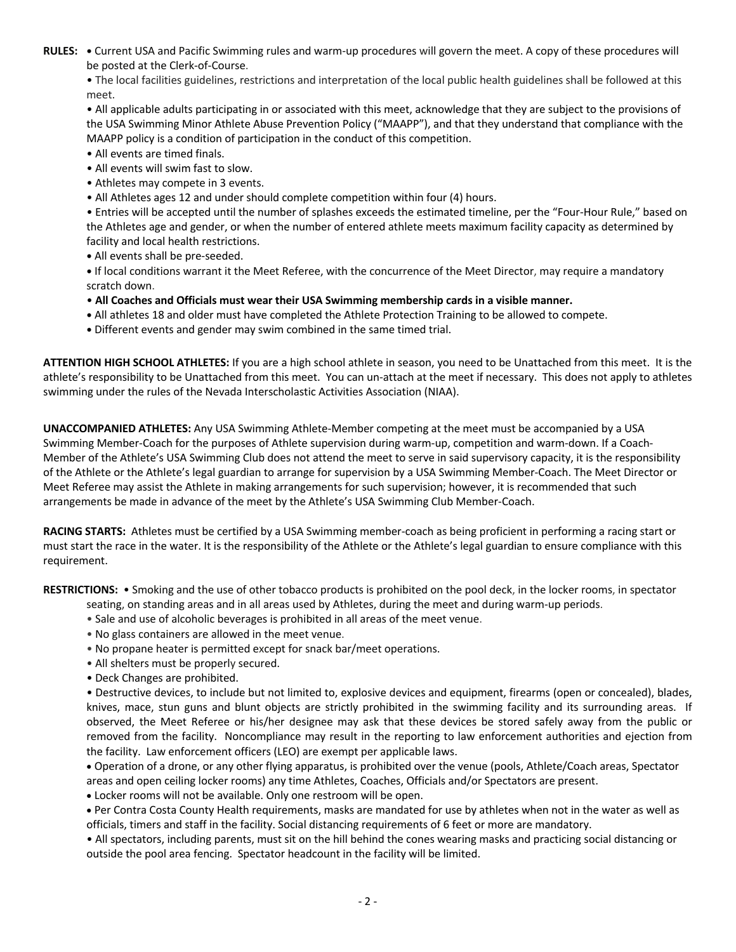**RULES: •** Current USA and Pacific Swimming rules and warm-up procedures will govern the meet. A copy of these procedures will be posted at the Clerk-of-Course.

• The local facilities guidelines, restrictions and interpretation of the local public health guidelines shall be followed at this meet.

• All applicable adults participating in or associated with this meet, acknowledge that they are subject to the provisions of the USA Swimming Minor Athlete Abuse Prevention Policy ("MAAPP"), and that they understand that compliance with the MAAPP policy is a condition of participation in the conduct of this competition.

- All events are timed finals.
- All events will swim fast to slow.
- Athletes may compete in 3 events.
- All Athletes ages 12 and under should complete competition within four (4) hours.

• Entries will be accepted until the number of splashes exceeds the estimated timeline, per the "Four-Hour Rule," based on the Athletes age and gender, or when the number of entered athlete meets maximum facility capacity as determined by facility and local health restrictions.

**•** All events shall be pre-seeded.

**•** If local conditions warrant it the Meet Referee, with the concurrence of the Meet Director, may require a mandatory scratch down.

- **All Coaches and Officials must wear their USA Swimming membership cards in a visible manner.**
- **•** All athletes 18 and older must have completed the Athlete Protection Training to be allowed to compete.
- **•** Different events and gender may swim combined in the same timed trial.

**ATTENTION HIGH SCHOOL ATHLETES:** If you are a high school athlete in season, you need to be Unattached from this meet. It is the athlete's responsibility to be Unattached from this meet. You can un-attach at the meet if necessary. This does not apply to athletes swimming under the rules of the Nevada Interscholastic Activities Association (NIAA).

**UNACCOMPANIED ATHLETES:** Any USA Swimming Athlete-Member competing at the meet must be accompanied by a USA Swimming Member-Coach for the purposes of Athlete supervision during warm-up, competition and warm-down. If a Coach-Member of the Athlete's USA Swimming Club does not attend the meet to serve in said supervisory capacity, it is the responsibility of the Athlete or the Athlete's legal guardian to arrange for supervision by a USA Swimming Member-Coach. The Meet Director or Meet Referee may assist the Athlete in making arrangements for such supervision; however, it is recommended that such arrangements be made in advance of the meet by the Athlete's USA Swimming Club Member-Coach.

**RACING STARTS:** Athletes must be certified by a USA Swimming member-coach as being proficient in performing a racing start or must start the race in the water. It is the responsibility of the Athlete or the Athlete's legal guardian to ensure compliance with this requirement.

**RESTRICTIONS:** • Smoking and the use of other tobacco products is prohibited on the pool deck, in the locker rooms, in spectator

- seating, on standing areas and in all areas used by Athletes, during the meet and during warm-up periods.
- Sale and use of alcoholic beverages is prohibited in all areas of the meet venue.
- No glass containers are allowed in the meet venue.
- No propane heater is permitted except for snack bar/meet operations.
- All shelters must be properly secured.
- Deck Changes are prohibited.

• Destructive devices, to include but not limited to, explosive devices and equipment, firearms (open or concealed), blades, knives, mace, stun guns and blunt objects are strictly prohibited in the swimming facility and its surrounding areas. If observed, the Meet Referee or his/her designee may ask that these devices be stored safely away from the public or removed from the facility. Noncompliance may result in the reporting to law enforcement authorities and ejection from the facility. Law enforcement officers (LEO) are exempt per applicable laws.

• Operation of a drone, or any other flying apparatus, is prohibited over the venue (pools, Athlete/Coach areas, Spectator areas and open ceiling locker rooms) any time Athletes, Coaches, Officials and/or Spectators are present.

• Locker rooms will not be available. Only one restroom will be open.

• Per Contra Costa County Health requirements, masks are mandated for use by athletes when not in the water as well as officials, timers and staff in the facility. Social distancing requirements of 6 feet or more are mandatory.

• All spectators, including parents, must sit on the hill behind the cones wearing masks and practicing social distancing or outside the pool area fencing. Spectator headcount in the facility will be limited.